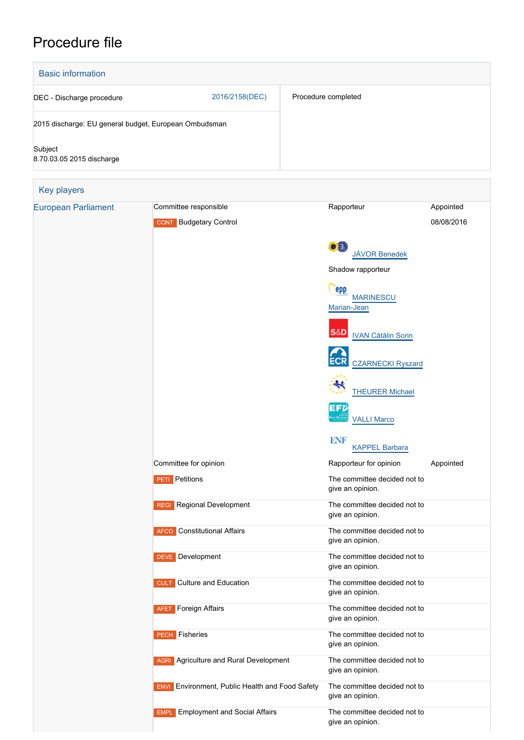# Procedure file



give an opinion.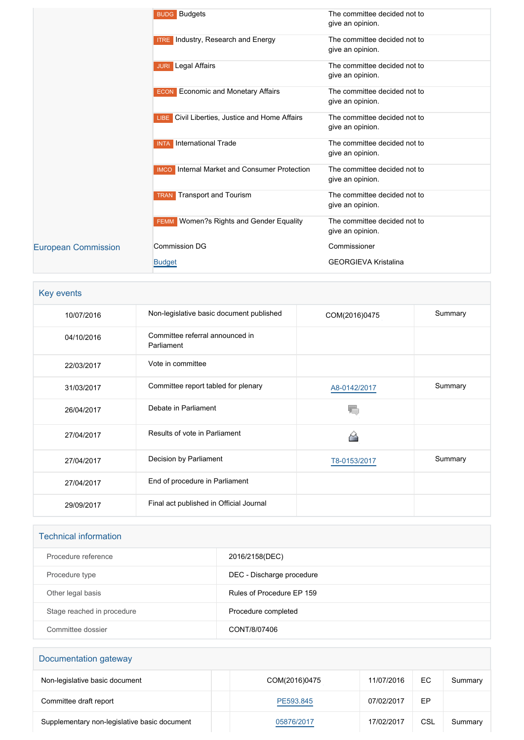|                            | <b>BUDG</b> Budgets                                    | The committee decided not to<br>give an opinion. |
|----------------------------|--------------------------------------------------------|--------------------------------------------------|
|                            | <b>ITRE</b> Industry, Research and Energy              | The committee decided not to<br>give an opinion. |
|                            | Legal Affairs<br><b>JURI</b>                           | The committee decided not to<br>give an opinion. |
|                            | <b>ECON</b> Economic and Monetary Affairs              | The committee decided not to<br>give an opinion. |
|                            | LIBE Civil Liberties, Justice and Home Affairs         | The committee decided not to<br>give an opinion. |
|                            | International Trade<br><b>INTA</b>                     | The committee decided not to<br>give an opinion. |
|                            | Internal Market and Consumer Protection<br><b>IMCO</b> | The committee decided not to<br>give an opinion. |
|                            | <b>Transport and Tourism</b><br><b>TRAN</b>            | The committee decided not to<br>give an opinion. |
|                            | Women?s Rights and Gender Equality<br><b>FEMM</b>      | The committee decided not to<br>give an opinion. |
| <b>European Commission</b> | <b>Commission DG</b>                                   | Commissioner                                     |
|                            | <b>Budget</b>                                          | <b>GEORGIEVA Kristalina</b>                      |

| Key events |                                               |               |         |
|------------|-----------------------------------------------|---------------|---------|
| 10/07/2016 | Non-legislative basic document published      | COM(2016)0475 | Summary |
| 04/10/2016 | Committee referral announced in<br>Parliament |               |         |
| 22/03/2017 | Vote in committee                             |               |         |
| 31/03/2017 | Committee report tabled for plenary           | A8-0142/2017  | Summary |
| 26/04/2017 | Debate in Parliament                          |               |         |
| 27/04/2017 | Results of vote in Parliament                 | کے            |         |
| 27/04/2017 | Decision by Parliament                        | T8-0153/2017  | Summary |
| 27/04/2017 | End of procedure in Parliament                |               |         |
| 29/09/2017 | Final act published in Official Journal       |               |         |

| <b>Technical information</b> |                           |
|------------------------------|---------------------------|
| Procedure reference          | 2016/2158(DEC)            |
| Procedure type               | DEC - Discharge procedure |
| Other legal basis            | Rules of Procedure EP 159 |
| Stage reached in procedure   | Procedure completed       |
| Committee dossier            | CONT/8/07406              |

| Documentation gateway                        |               |            |     |         |
|----------------------------------------------|---------------|------------|-----|---------|
| Non-legislative basic document               | COM(2016)0475 | 11/07/2016 | EC  | Summary |
| Committee draft report                       | PE593.845     | 07/02/2017 | EP  |         |
| Supplementary non-legislative basic document | 05876/2017    | 17/02/2017 | CSL | Summary |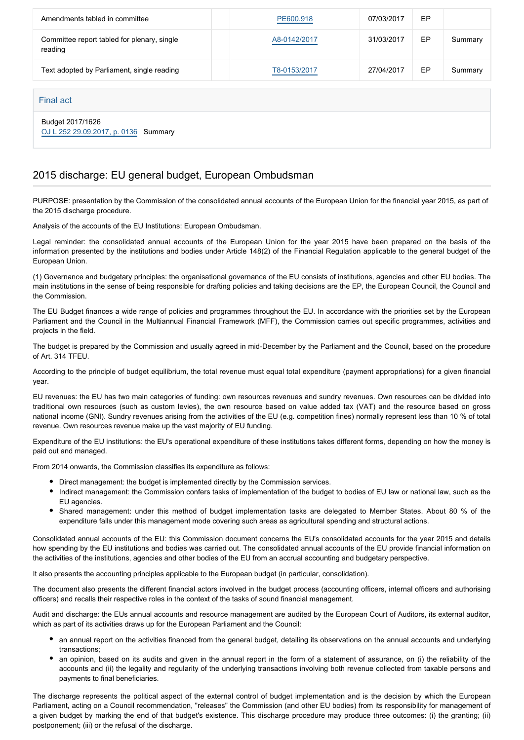| Amendments tabled in committee                         | PE600.918    | 07/03/2017 | EP |         |
|--------------------------------------------------------|--------------|------------|----|---------|
| Committee report tabled for plenary, single<br>reading | A8-0142/2017 | 31/03/2017 | EP | Summary |
| Text adopted by Parliament, single reading             | T8-0153/2017 | 27/04/2017 | EP | Summary |
|                                                        |              |            |    |         |

#### Final act

Budget 2017/1626 [OJ L 252 29.09.2017, p. 0136](https://eur-lex.europa.eu/legal-content/EN/TXT/?uri=OJ:L:2017:252:TOC) Summary

#### 2015 discharge: EU general budget, European Ombudsman

PURPOSE: presentation by the Commission of the consolidated annual accounts of the European Union for the financial year 2015, as part of the 2015 discharge procedure.

Analysis of the accounts of the EU Institutions: European Ombudsman.

Legal reminder: the consolidated annual accounts of the European Union for the year 2015 have been prepared on the basis of the information presented by the institutions and bodies under Article 148(2) of the Financial Regulation applicable to the general budget of the European Union.

(1) Governance and budgetary principles: the organisational governance of the EU consists of institutions, agencies and other EU bodies. The main institutions in the sense of being responsible for drafting policies and taking decisions are the EP, the European Council, the Council and the Commission.

The EU Budget finances a wide range of policies and programmes throughout the EU. In accordance with the priorities set by the European Parliament and the Council in the Multiannual Financial Framework (MFF), the Commission carries out specific programmes, activities and projects in the field.

The budget is prepared by the Commission and usually agreed in mid-December by the Parliament and the Council, based on the procedure of Art. 314 TFEU.

According to the principle of budget equilibrium, the total revenue must equal total expenditure (payment appropriations) for a given financial year.

EU revenues: the EU has two main categories of funding: own resources revenues and sundry revenues. Own resources can be divided into traditional own resources (such as custom levies), the own resource based on value added tax (VAT) and the resource based on gross national income (GNI). Sundry revenues arising from the activities of the EU (e.g. competition fines) normally represent less than 10 % of total revenue. Own resources revenue make up the vast majority of EU funding.

Expenditure of the EU institutions: the EU's operational expenditure of these institutions takes different forms, depending on how the money is paid out and managed.

From 2014 onwards, the Commission classifies its expenditure as follows:

- Direct management: the budget is implemented directly by the Commission services.
- Indirect management: the Commission confers tasks of implementation of the budget to bodies of EU law or national law, such as the EU agencies.
- Shared management: under this method of budget implementation tasks are delegated to Member States. About 80 % of the expenditure falls under this management mode covering such areas as agricultural spending and structural actions.

Consolidated annual accounts of the EU: this Commission document concerns the EU's consolidated accounts for the year 2015 and details how spending by the EU institutions and bodies was carried out. The consolidated annual accounts of the EU provide financial information on the activities of the institutions, agencies and other bodies of the EU from an accrual accounting and budgetary perspective.

It also presents the accounting principles applicable to the European budget (in particular, consolidation).

The document also presents the different financial actors involved in the budget process (accounting officers, internal officers and authorising officers) and recalls their respective roles in the context of the tasks of sound financial management.

Audit and discharge: the EUs annual accounts and resource management are audited by the European Court of Auditors, its external auditor, which as part of its activities draws up for the European Parliament and the Council:

- an annual report on the activities financed from the general budget, detailing its observations on the annual accounts and underlying transactions;
- an opinion, based on its audits and given in the annual report in the form of a statement of assurance, on (i) the reliability of the accounts and (ii) the legality and regularity of the underlying transactions involving both revenue collected from taxable persons and payments to final beneficiaries.

The discharge represents the political aspect of the external control of budget implementation and is the decision by which the European Parliament, acting on a Council recommendation, "releases" the Commission (and other EU bodies) from its responsibility for management of a given budget by marking the end of that budget's existence. This discharge procedure may produce three outcomes: (i) the granting; (ii) postponement; (iii) or the refusal of the discharge.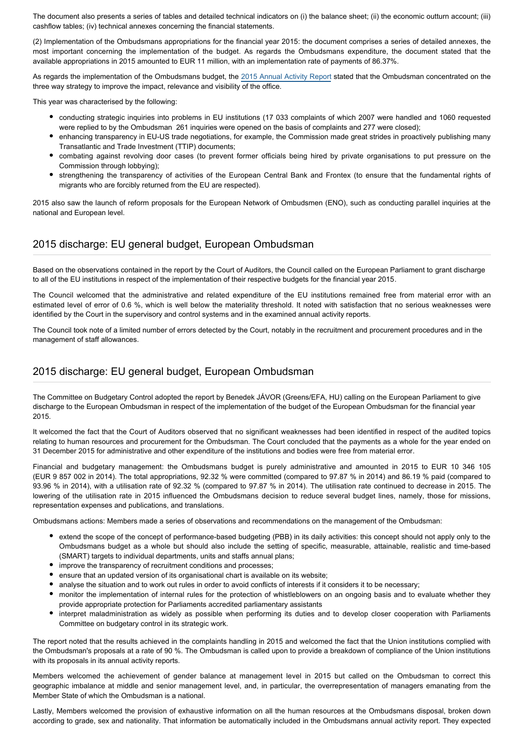The document also presents a series of tables and detailed technical indicators on (i) the balance sheet; (ii) the economic outturn account; (iii) cashflow tables; (iv) technical annexes concerning the financial statements.

(2) Implementation of the Ombudsmans appropriations for the financial year 2015: the document comprises a series of detailed annexes, the most important concerning the implementation of the budget. As regards the Ombudsmans expenditure, the document stated that the available appropriations in 2015 amounted to EUR 11 million, with an implementation rate of payments of 86.37%.

As regards the implementation of the Ombudsmans budget, the 2015 Annual Activity Report stated that the Ombudsman concentrated on the three way strategy to improve the impact, relevance and visibility of the office.

This year was characterised by the following:

- conducting strategic inquiries into problems in EU institutions (17 033 complaints of which 2007 were handled and 1060 requested were replied to by the Ombudsman 261 inquiries were opened on the basis of complaints and 277 were closed);
- enhancing transparency in EU-US trade negotiations, for example, the Commission made great strides in proactively publishing many Transatlantic and Trade Investment (TTIP) documents;
- combating against revolving door cases (to prevent former officials being hired by private organisations to put pressure on the Commission through lobbying);
- strengthening the transparency of activities of the European Central Bank and Frontex (to ensure that the fundamental rights of migrants who are forcibly returned from the EU are respected).

2015 also saw the launch of reform proposals for the European Network of Ombudsmen (ENO), such as conducting parallel inquiries at the national and European level.

#### 2015 discharge: EU general budget, European Ombudsman

Based on the observations contained in the report by the Court of Auditors, the Council called on the European Parliament to grant discharge to all of the EU institutions in respect of the implementation of their respective budgets for the financial year 2015.

The Council welcomed that the administrative and related expenditure of the EU institutions remained free from material error with an estimated level of error of 0.6 %, which is well below the materiality threshold. It noted with satisfaction that no serious weaknesses were identified by the Court in the supervisory and control systems and in the examined annual activity reports.

The Council took note of a limited number of errors detected by the Court, notably in the recruitment and procurement procedures and in the management of staff allowances.

#### 2015 discharge: EU general budget, European Ombudsman

The Committee on Budgetary Control adopted the report by Benedek JÁVOR (Greens/EFA, HU) calling on the European Parliament to give discharge to the European Ombudsman in respect of the implementation of the budget of the European Ombudsman for the financial year 2015.

It welcomed the fact that the Court of Auditors observed that no significant weaknesses had been identified in respect of the audited topics relating to human resources and procurement for the Ombudsman. The Court concluded that the payments as a whole for the year ended on 31 December 2015 for administrative and other expenditure of the institutions and bodies were free from material error.

Financial and budgetary management: the Ombudsmans budget is purely administrative and amounted in 2015 to EUR 10 346 105 (EUR 9 857 002 in 2014). The total appropriations, 92.32 % were committed (compared to 97.87 % in 2014) and 86.19 % paid (compared to 93.96 % in 2014), with a utilisation rate of 92.32 % (compared to 97.87 % in 2014). The utilisation rate continued to decrease in 2015. The lowering of the utilisation rate in 2015 influenced the Ombudsmans decision to reduce several budget lines, namely, those for missions, representation expenses and publications, and translations.

Ombudsmans actions: Members made a series of observations and recommendations on the management of the Ombudsman:

- extend the scope of the concept of performance-based budgeting (PBB) in its daily activities: this concept should not apply only to the Ombudsmans budget as a whole but should also include the setting of specific, measurable, attainable, realistic and time-based (SMART) targets to individual departments, units and staffs annual plans;
- improve the transparency of recruitment conditions and processes;
- ensure that an updated version of its organisational chart is available on its website;
- analyse the situation and to work out rules in order to avoid conflicts of interests if it considers it to be necessary;
- monitor the implementation of internal rules for the protection of whistleblowers on an ongoing basis and to evaluate whether they provide appropriate protection for Parliaments accredited parliamentary assistants
- interpret maladministration as widely as possible when performing its duties and to develop closer cooperation with Parliaments Committee on budgetary control in its strategic work.

The report noted that the results achieved in the complaints handling in 2015 and welcomed the fact that the Union institutions complied with the Ombudsman's proposals at a rate of 90 %. The Ombudsman is called upon to provide a breakdown of compliance of the Union institutions with its proposals in its annual activity reports.

Members welcomed the achievement of gender balance at management level in 2015 but called on the Ombudsman to correct this geographic imbalance at middle and senior management level, and, in particular, the overrepresentation of managers emanating from the Member State of which the Ombudsman is a national.

Lastly, Members welcomed the provision of exhaustive information on all the human resources at the Ombudsmans disposal, broken down according to grade, sex and nationality. That information be automatically included in the Ombudsmans annual activity report. They expected